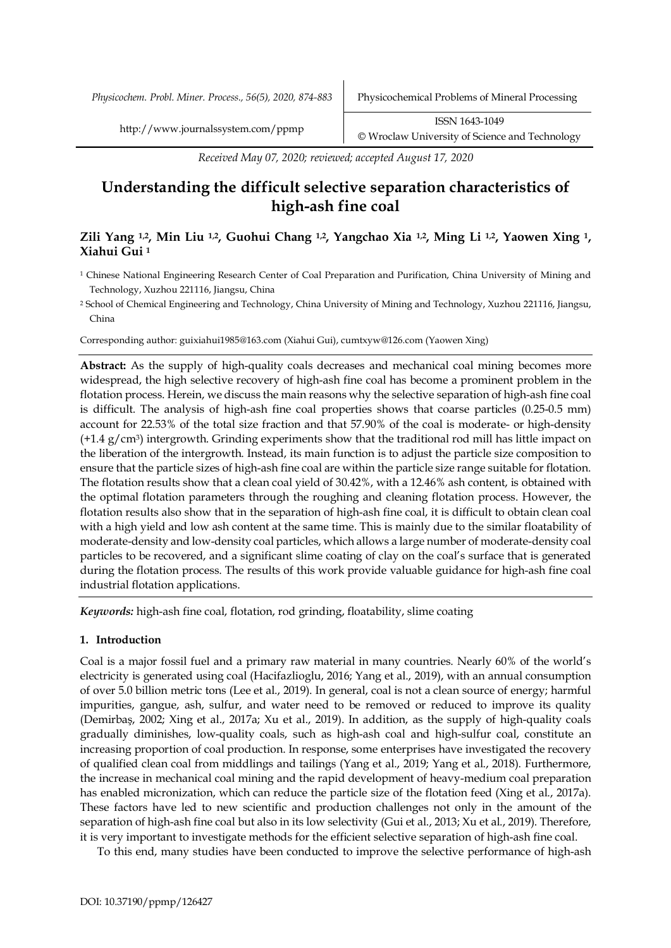*Physicochem. Probl. Miner. Process., 56(5), 2020, 874-883* Physicochemical Problems of Mineral Processing

*Received May 07, 2020; reviewed; accepted August 17, 2020*

# **Understanding the difficult selective separation characteristics of high-ash fine coal**

# **Zili Yang 1,2, Min Liu 1,2, Guohui Chang 1,2, Yangchao Xia 1,2, Ming Li 1,2, Yaowen Xing 1, Xiahui Gui <sup>1</sup>**

- <sup>1</sup> Chinese National Engineering Research Center of Coal Preparation and Purification, China University of Mining and Technology, Xuzhou 221116, Jiangsu, China
- <sup>2</sup> School of Chemical Engineering and Technology, China University of Mining and Technology, Xuzhou 221116, Jiangsu, China

Corresponding author: guixiahui1985@163.com (Xiahui Gui), cumtxyw@126.com (Yaowen Xing)

**Abstract:** As the supply of high-quality coals decreases and mechanical coal mining becomes more widespread, the high selective recovery of high-ash fine coal has become a prominent problem in the flotation process. Herein, we discuss the main reasons why the selective separation of high-ash fine coal is difficult. The analysis of high-ash fine coal properties shows that coarse particles (0.25-0.5 mm) account for 22.53% of the total size fraction and that 57.90% of the coal is moderate- or high-density  $(+1.4 \text{ g/cm}^3)$  intergrowth. Grinding experiments show that the traditional rod mill has little impact on the liberation of the intergrowth. Instead, its main function is to adjust the particle size composition to ensure that the particle sizes of high-ash fine coal are within the particle size range suitable for flotation. The flotation results show that a clean coal yield of 30.42%, with a 12.46% ash content, is obtained with the optimal flotation parameters through the roughing and cleaning flotation process. However, the flotation results also show that in the separation of high-ash fine coal, it is difficult to obtain clean coal with a high yield and low ash content at the same time. This is mainly due to the similar floatability of moderate-density and low-density coal particles, which allows a large number of moderate-density coal particles to be recovered, and a significant slime coating of clay on the coal's surface that is generated during the flotation process. The results of this work provide valuable guidance for high-ash fine coal industrial flotation applications.

*Keywords:* high-ash fine coal, flotation, rod grinding, floatability, slime coating

# **1. Introduction**

Coal is a major fossil fuel and a primary raw material in many countries. Nearly 60% of the world's electricity is generated using coal (Hacifazlioglu, 2016; Yang et al., 2019), with an annual consumption of over 5.0 billion metric tons (Lee et al., 2019). In general, coal is not a clean source of energy; harmful impurities, gangue, ash, sulfur, and water need to be removed or reduced to improve its quality (Demirbaş, 2002; Xing et al., 2017a; Xu et al., 2019). In addition, as the supply of high-quality coals gradually diminishes, low-quality coals, such as high-ash coal and high-sulfur coal, constitute an increasing proportion of coal production. In response, some enterprises have investigated the recovery of qualified clean coal from middlings and tailings (Yang et al., 2019; Yang et al., 2018). Furthermore, the increase in mechanical coal mining and the rapid development of heavy-medium coal preparation has enabled micronization, which can reduce the particle size of the flotation feed (Xing et al., 2017a). These factors have led to new scientific and production challenges not only in the amount of the separation of high-ash fine coal but also in its low selectivity (Gui et al., 2013; Xu et al., 2019). Therefore, it is very important to investigate methods for the efficient selective separation of high-ash fine coal.

To this end, many studies have been conducted to improve the selective performance of high-ash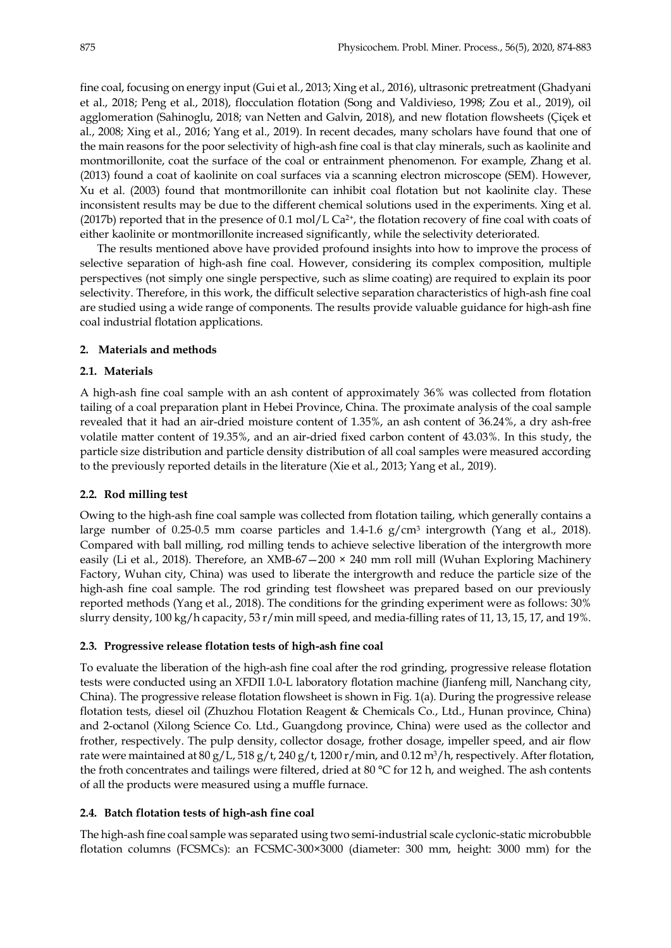fine coal, focusing on energy input (Gui et al., 2013; Xing et al., 2016), ultrasonic pretreatment (Ghadyani et al., 2018; Peng et al., 2018), flocculation flotation (Song and Valdivieso, 1998; Zou et al., 2019), oil agglomeration (Sahinoglu, 2018; van Netten and Galvin, 2018), and new flotation flowsheets (Çiçek et al., 2008; Xing et al., 2016; Yang et al., 2019). In recent decades, many scholars have found that one of the main reasons for the poor selectivity of high-ash fine coal is that clay minerals, such as kaolinite and montmorillonite, coat the surface of the coal or entrainment phenomenon. For example, Zhang et al. (2013) found a coat of kaolinite on coal surfaces via a scanning electron microscope (SEM). However, Xu et al. (2003) found that montmorillonite can inhibit coal flotation but not kaolinite clay. These inconsistent results may be due to the different chemical solutions used in the experiments. Xing et al. (2017b) reported that in the presence of  $0.1 \text{ mol/L Ca}^{2+}$ , the flotation recovery of fine coal with coats of either kaolinite or montmorillonite increased significantly, while the selectivity deteriorated.

The results mentioned above have provided profound insights into how to improve the process of selective separation of high-ash fine coal. However, considering its complex composition, multiple perspectives (not simply one single perspective, such as slime coating) are required to explain its poor selectivity. Therefore, in this work, the difficult selective separation characteristics of high-ash fine coal are studied using a wide range of components. The results provide valuable guidance for high-ash fine coal industrial flotation applications.

# **2. Materials and methods**

## **2.1. Materials**

A high-ash fine coal sample with an ash content of approximately 36% was collected from flotation tailing of a coal preparation plant in Hebei Province, China. The proximate analysis of the coal sample revealed that it had an air-dried moisture content of 1.35%, an ash content of 36.24%, a dry ash-free volatile matter content of 19.35%, and an air-dried fixed carbon content of 43.03%. In this study, the particle size distribution and particle density distribution of all coal samples were measured according to the previously reported details in the literature (Xie et al., 2013; Yang et al., 2019).

## **2.2. Rod milling test**

Owing to the high-ash fine coal sample was collected from flotation tailing, which generally contains a large number of 0.25-0.5 mm coarse particles and 1.4-1.6  $g/cm<sup>3</sup>$  intergrowth (Yang et al., 2018). Compared with ball milling, rod milling tends to achieve selective liberation of the intergrowth more easily (Li et al., 2018). Therefore, an XMB-67-200  $\times$  240 mm roll mill (Wuhan Exploring Machinery Factory, Wuhan city, China) was used to liberate the intergrowth and reduce the particle size of the high-ash fine coal sample. The rod grinding test flowsheet was prepared based on our previously reported methods (Yang et al., 2018). The conditions for the grinding experiment were as follows: 30% slurry density, 100 kg/h capacity, 53 r/min mill speed, and media-filling rates of 11, 13, 15, 17, and 19%.

# **2.3. Progressive release flotation tests of high-ash fine coal**

To evaluate the liberation of the high-ash fine coal after the rod grinding, progressive release flotation tests were conducted using an XFDII 1.0-L laboratory flotation machine (Jianfeng mill, Nanchang city, China). The progressive release flotation flowsheet is shown in Fig. 1(a). During the progressive release flotation tests, diesel oil (Zhuzhou Flotation Reagent & Chemicals Co., Ltd., Hunan province, China) and 2-octanol (Xilong Science Co. Ltd., Guangdong province, China) were used as the collector and frother, respectively. The pulp density, collector dosage, frother dosage, impeller speed, and air flow rate were maintained at  $80 g/L$ ,  $518 g/t$ ,  $240 g/t$ ,  $1200 r/min$ , and  $0.12 m<sup>3</sup>/h$ , respectively. After flotation, the froth concentrates and tailings were filtered, dried at 80 °C for 12 h, and weighed. The ash contents of all the products were measured using a muffle furnace.

## **2.4. Batch flotation tests of high-ash fine coal**

The high-ash fine coal sample was separated using two semi-industrial scale cyclonic-static microbubble flotation columns (FCSMCs): an FCSMC-300×3000 (diameter: 300 mm, height: 3000 mm) for the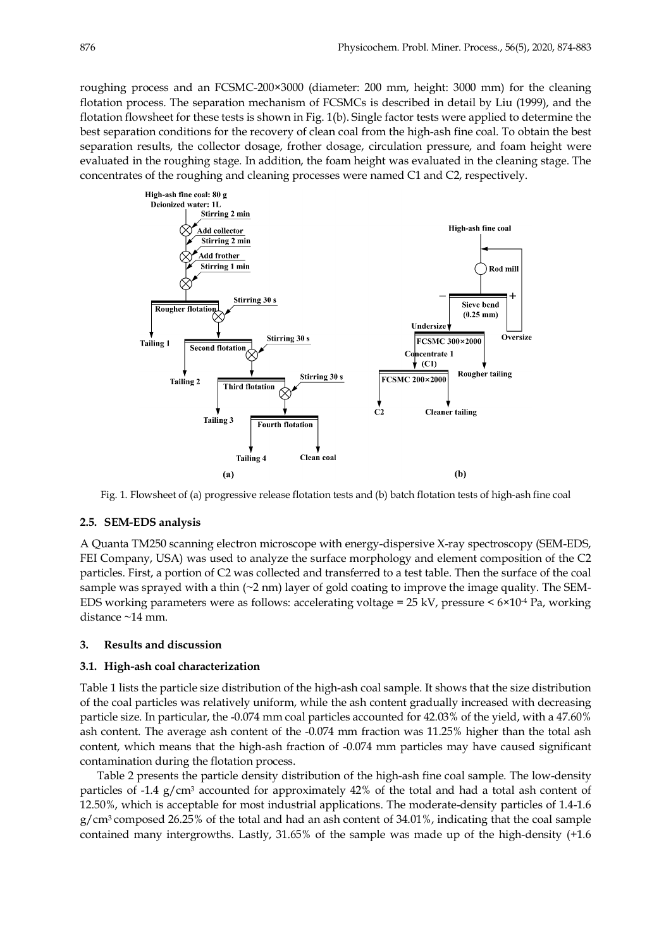roughing process and an FCSMC-200×3000 (diameter: 200 mm, height: 3000 mm) for the cleaning flotation process. The separation mechanism of FCSMCs is described in detail by Liu (1999), and the flotation flowsheet for these tests is shown in Fig. 1(b). Single factor tests were applied to determine the best separation conditions for the recovery of clean coal from the high-ash fine coal. To obtain the best separation results, the collector dosage, frother dosage, circulation pressure, and foam height were evaluated in the roughing stage. In addition, the foam height was evaluated in the cleaning stage. The concentrates of the roughing and cleaning processes were named C1 and C2, respectively.



Fig. 1. Flowsheet of (a) progressive release flotation tests and (b) batch flotation tests of high-ash fine coal

# **2.5. SEM-EDS analysis**

A Quanta TM250 scanning electron microscope with energy-dispersive X-ray spectroscopy (SEM-EDS, FEI Company, USA) was used to analyze the surface morphology and element composition of the C2 particles. First, a portion of C2 was collected and transferred to a test table. Then the surface of the coal sample was sprayed with a thin  $(\sim 2 \text{ nm})$  layer of gold coating to improve the image quality. The SEM-EDS working parameters were as follows: accelerating voltage =  $25 \text{ kV}$ , pressure <  $6 \times 10^{-4}$  Pa, working distance ~14 mm.

# **3. Results and discussion**

#### **3.1. High-ash coal characterization**

Table 1 lists the particle size distribution of the high-ash coal sample. It shows that the size distribution of the coal particles was relatively uniform, while the ash content gradually increased with decreasing particle size. In particular, the -0.074 mm coal particles accounted for 42.03% of the yield, with a 47.60% ash content. The average ash content of the -0.074 mm fraction was 11.25% higher than the total ash content, which means that the high-ash fraction of -0.074 mm particles may have caused significant contamination during the flotation process.

Table 2 presents the particle density distribution of the high-ash fine coal sample. The low-density particles of  $-1.4$  g/cm<sup>3</sup> accounted for approximately  $42\%$  of the total and had a total ash content of 12.50%, which is acceptable for most industrial applications. The moderate-density particles of 1.4-1.6  $g/cm<sup>3</sup>$  composed 26.25% of the total and had an ash content of 34.01%, indicating that the coal sample contained many intergrowths. Lastly, 31.65% of the sample was made up of the high-density (+1.6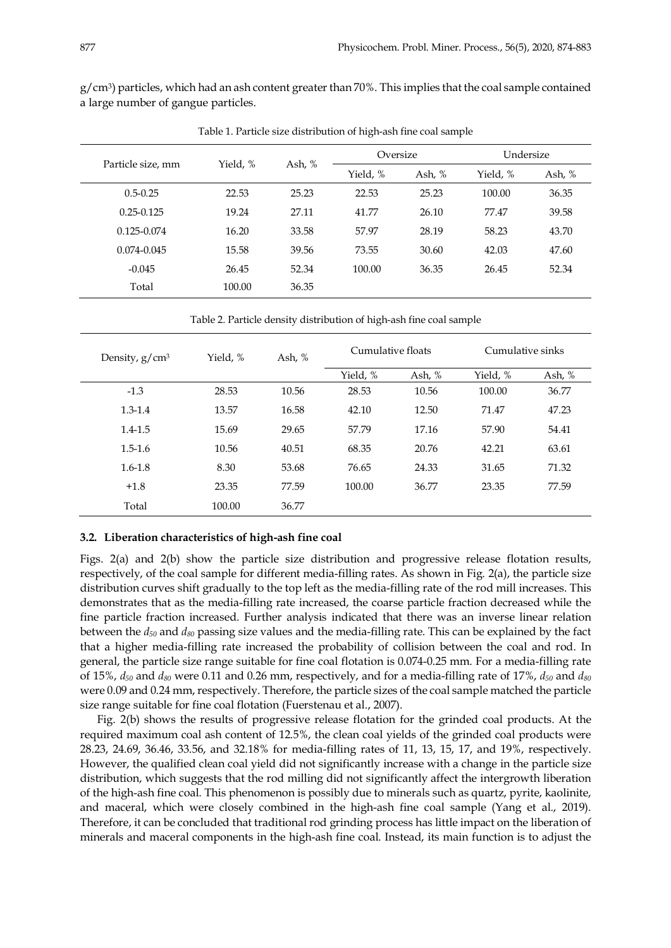$g/cm^3$ ) particles, which had an ash content greater than 70%. This implies that the coal sample contained a large number of gangue particles.

|                   |          |        | Oversize |        | Undersize |        |
|-------------------|----------|--------|----------|--------|-----------|--------|
| Particle size, mm | Yield, % | Ash, % | Yield, % | Ash, % | Yield, %  | Ash, % |
| $0.5 - 0.25$      | 22.53    | 25.23  | 22.53    | 25.23  | 100.00    | 36.35  |
| $0.25 - 0.125$    | 19.24    | 27.11  | 41.77    | 26.10  | 77.47     | 39.58  |
| $0.125 - 0.074$   | 16.20    | 33.58  | 57.97    | 28.19  | 58.23     | 43.70  |
| 0.074-0.045       | 15.58    | 39.56  | 73.55    | 30.60  | 42.03     | 47.60  |
| $-0.045$          | 26.45    | 52.34  | 100.00   | 36.35  | 26.45     | 52.34  |
| Total             | 100.00   | 36.35  |          |        |           |        |

Table 1. Particle size distribution of high-ash fine coal sample

Table 2. Particle density distribution of high-ash fine coal sample

| Density, $g/cm^3$ | Yield, % | Ash, % | Cumulative floats |          | Cumulative sinks |          |
|-------------------|----------|--------|-------------------|----------|------------------|----------|
|                   |          |        | Yield, %          | Ash, $%$ | Yield, %         | Ash, $%$ |
| $-1.3$            | 28.53    | 10.56  | 28.53             | 10.56    | 100.00           | 36.77    |
| $1.3 - 1.4$       | 13.57    | 16.58  | 42.10             | 12.50    | 71.47            | 47.23    |
| $1.4 - 1.5$       | 15.69    | 29.65  | 57.79             | 17.16    | 57.90            | 54.41    |
| $1.5 - 1.6$       | 10.56    | 40.51  | 68.35             | 20.76    | 42.21            | 63.61    |
| $1.6 - 1.8$       | 8.30     | 53.68  | 76.65             | 24.33    | 31.65            | 71.32    |
| $+1.8$            | 23.35    | 77.59  | 100.00            | 36.77    | 23.35            | 77.59    |
| Total             | 100.00   | 36.77  |                   |          |                  |          |

# **3.2. Liberation characteristics of high-ash fine coal**

Figs. 2(a) and 2(b) show the particle size distribution and progressive release flotation results, respectively, of the coal sample for different media-filling rates. As shown in Fig. 2(a), the particle size distribution curves shift gradually to the top left as the media-filling rate of the rod mill increases. This demonstrates that as the media-filling rate increased, the coarse particle fraction decreased while the fine particle fraction increased. Further analysis indicated that there was an inverse linear relation between the *d50* and *d80* passing size values and the media-filling rate. This can be explained by the fact that a higher media-filling rate increased the probability of collision between the coal and rod. In general, the particle size range suitable for fine coal flotation is 0.074-0.25 mm. For a media-filling rate of 15%, *d50* and *d80* were 0.11 and 0.26 mm, respectively, and for a media-filling rate of 17%, *d50* and *d80* were 0.09 and 0.24 mm, respectively. Therefore, the particle sizes of the coal sample matched the particle size range suitable for fine coal flotation (Fuerstenau et al., 2007).

Fig. 2(b) shows the results of progressive release flotation for the grinded coal products. At the required maximum coal ash content of 12.5%, the clean coal yields of the grinded coal products were 28.23, 24.69, 36.46, 33.56, and 32.18% for media-filling rates of 11, 13, 15, 17, and 19%, respectively. However, the qualified clean coal yield did not significantly increase with a change in the particle size distribution, which suggests that the rod milling did not significantly affect the intergrowth liberation of the high-ash fine coal. This phenomenon is possibly due to minerals such as quartz, pyrite, kaolinite, and maceral, which were closely combined in the high-ash fine coal sample (Yang et al., 2019). Therefore, it can be concluded that traditional rod grinding process has little impact on the liberation of minerals and maceral components in the high-ash fine coal. Instead, its main function is to adjust the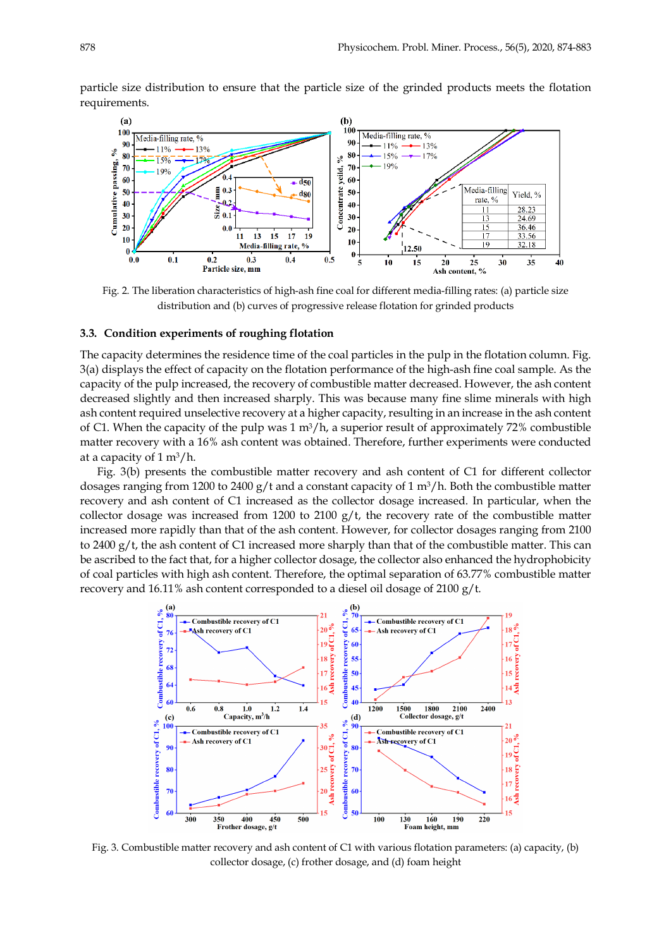particle size distribution to ensure that the particle size of the grinded products meets the flotation requirements.



Fig. 2. The liberation characteristics of high-ash fine coal for different media-filling rates: (a) particle size distribution and (b) curves of progressive release flotation for grinded products

#### **3.3. Condition experiments of roughing flotation**

The capacity determines the residence time of the coal particles in the pulp in the flotation column. Fig. 3(a) displays the effect of capacity on the flotation performance of the high-ash fine coal sample. As the capacity of the pulp increased, the recovery of combustible matter decreased. However, the ash content decreased slightly and then increased sharply. This was because many fine slime minerals with high ash content required unselective recovery at a higher capacity, resulting in an increase in the ash content of C1. When the capacity of the pulp was  $1 \text{ m}^3/\text{h}$ , a superior result of approximately 72% combustible matter recovery with a 16% ash content was obtained. Therefore, further experiments were conducted at a capacity of  $1 \text{ m}^3/\text{h}$ .

Fig. 3(b) presents the combustible matter recovery and ash content of C1 for different collector dosages ranging from 1200 to 2400 g/t and a constant capacity of 1  $\text{m}^3$ /h. Both the combustible matter recovery and ash content of C1 increased as the collector dosage increased. In particular, when the collector dosage was increased from 1200 to 2100 g/t, the recovery rate of the combustible matter increased more rapidly than that of the ash content. However, for collector dosages ranging from 2100 to 2400 g/t, the ash content of C1 increased more sharply than that of the combustible matter. This can be ascribed to the fact that, for a higher collector dosage, the collector also enhanced the hydrophobicity of coal particles with high ash content. Therefore, the optimal separation of 63.77% combustible matter recovery and 16.11% ash content corresponded to a diesel oil dosage of 2100 g/t.



Fig. 3. Combustible matter recovery and ash content of C1 with various flotation parameters: (a) capacity, (b) collector dosage, (c) frother dosage, and (d) foam height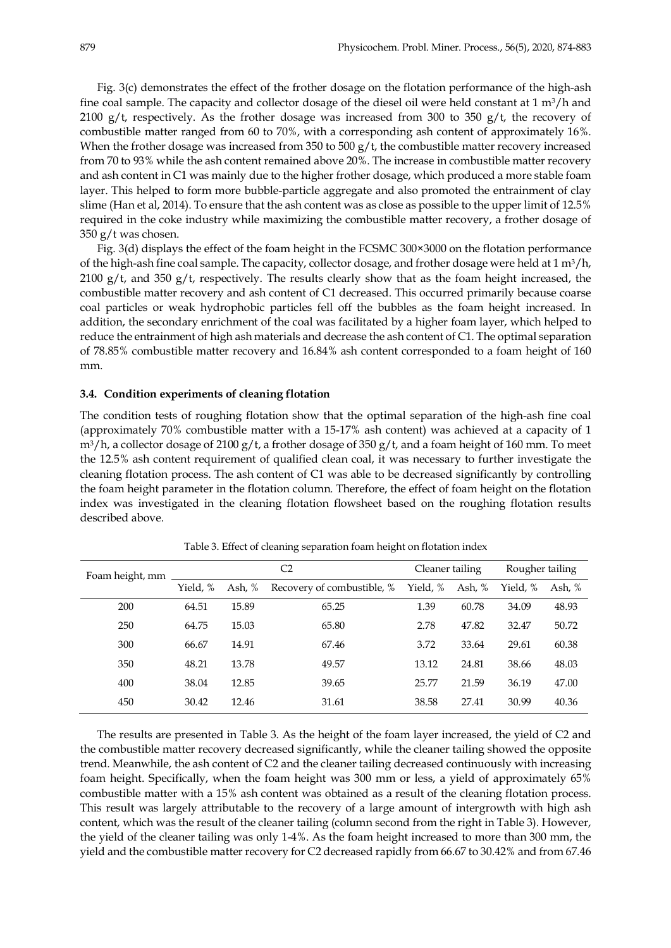Fig. 3(c) demonstrates the effect of the frother dosage on the flotation performance of the high-ash fine coal sample. The capacity and collector dosage of the diesel oil were held constant at  $1 \text{ m}^3/\text{h}$  and 2100 g/t, respectively. As the frother dosage was increased from 300 to 350 g/t, the recovery of combustible matter ranged from 60 to 70%, with a corresponding ash content of approximately 16%. When the frother dosage was increased from 350 to 500 g/t, the combustible matter recovery increased from 70 to 93% while the ash content remained above 20%. The increase in combustible matter recovery and ash content in C1 was mainly due to the higher frother dosage, which produced a more stable foam layer. This helped to form more bubble-particle aggregate and also promoted the entrainment of clay slime (Han et al, 2014). To ensure that the ash content was as close as possible to the upper limit of 12.5% required in the coke industry while maximizing the combustible matter recovery, a frother dosage of 350 g/t was chosen.

Fig. 3(d) displays the effect of the foam height in the FCSMC 300×3000 on the flotation performance of the high-ash fine coal sample. The capacity, collector dosage, and frother dosage were held at  $1 \text{ m}^3/\text{h}$ , 2100 g/t, and 350 g/t, respectively. The results clearly show that as the foam height increased, the combustible matter recovery and ash content of C1 decreased. This occurred primarily because coarse coal particles or weak hydrophobic particles fell off the bubbles as the foam height increased. In addition, the secondary enrichment of the coal was facilitated by a higher foam layer, which helped to reduce the entrainment of high ash materials and decrease the ash content of C1. The optimal separation of 78.85% combustible matter recovery and 16.84% ash content corresponded to a foam height of 160 mm.

#### **3.4. Condition experiments of cleaning flotation**

The condition tests of roughing flotation show that the optimal separation of the high-ash fine coal (approximately 70% combustible matter with a 15-17% ash content) was achieved at a capacity of 1  $\text{m}^3/\text{h}$ , a collector dosage of 2100 g/t, a frother dosage of 350 g/t, and a foam height of 160 mm. To meet the 12.5% ash content requirement of qualified clean coal, it was necessary to further investigate the cleaning flotation process. The ash content of C1 was able to be decreased significantly by controlling the foam height parameter in the flotation column. Therefore, the effect of foam height on the flotation index was investigated in the cleaning flotation flowsheet based on the roughing flotation results described above.

| Foam height, mm |          | C <sub>2</sub> |                            | Cleaner tailing |        | Rougher tailing |        |
|-----------------|----------|----------------|----------------------------|-----------------|--------|-----------------|--------|
|                 | Yield, % | Ash, %         | Recovery of combustible, % | Yield, %        | Ash, % | Yield. %        | Ash, % |
| 200             | 64.51    | 15.89          | 65.25                      | 1.39            | 60.78  | 34.09           | 48.93  |
| 250             | 64.75    | 15.03          | 65.80                      | 2.78            | 47.82  | 32.47           | 50.72  |
| 300             | 66.67    | 14.91          | 67.46                      | 3.72            | 33.64  | 29.61           | 60.38  |
| 350             | 48.21    | 13.78          | 49.57                      | 13.12           | 24.81  | 38.66           | 48.03  |
| 400             | 38.04    | 12.85          | 39.65                      | 25.77           | 21.59  | 36.19           | 47.00  |
| 450             | 30.42    | 12.46          | 31.61                      | 38.58           | 27.41  | 30.99           | 40.36  |

Table 3. Effect of cleaning separation foam height on flotation index

The results are presented in Table 3. As the height of the foam layer increased, the yield of C2 and the combustible matter recovery decreased significantly, while the cleaner tailing showed the opposite trend. Meanwhile, the ash content of C2 and the cleaner tailing decreased continuously with increasing foam height. Specifically, when the foam height was 300 mm or less, a yield of approximately 65% combustible matter with a 15% ash content was obtained as a result of the cleaning flotation process. This result was largely attributable to the recovery of a large amount of intergrowth with high ash content, which was the result of the cleaner tailing (column second from the right in Table 3). However, the yield of the cleaner tailing was only 1-4%. As the foam height increased to more than 300 mm, the yield and the combustible matter recovery for C2 decreased rapidly from 66.67 to 30.42% and from 67.46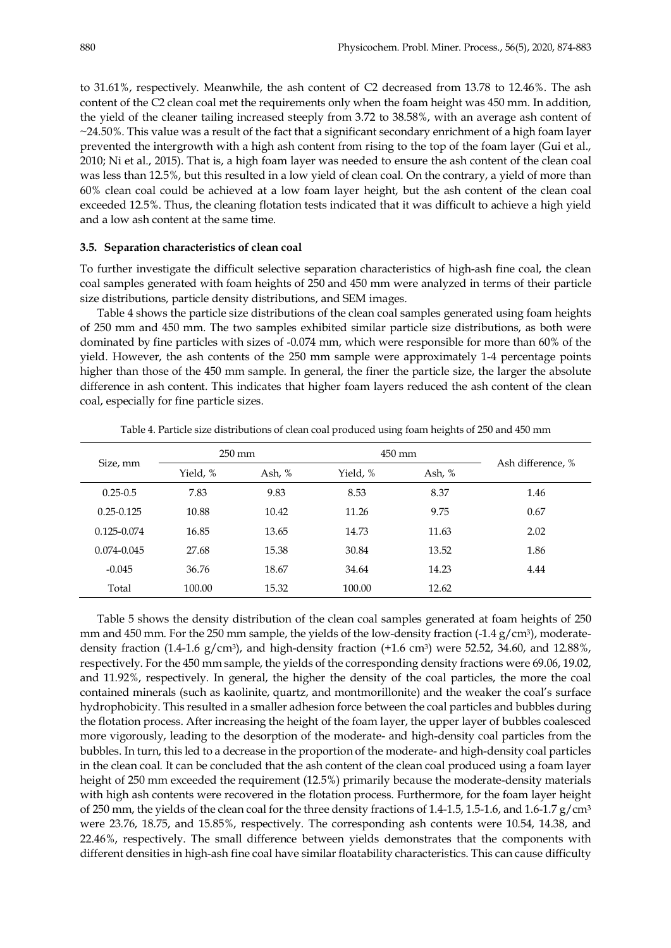to 31.61%, respectively. Meanwhile, the ash content of C2 decreased from 13.78 to 12.46%. The ash content of the C2 clean coal met the requirements only when the foam height was 450 mm. In addition, the yield of the cleaner tailing increased steeply from 3.72 to 38.58%, with an average ash content of  $\sim$ 24.50%. This value was a result of the fact that a significant secondary enrichment of a high foam layer prevented the intergrowth with a high ash content from rising to the top of the foam layer (Gui et al., 2010; Ni et al., 2015). That is, a high foam layer was needed to ensure the ash content of the clean coal was less than 12.5%, but this resulted in a low yield of clean coal. On the contrary, a yield of more than 60% clean coal could be achieved at a low foam layer height, but the ash content of the clean coal exceeded 12.5%. Thus, the cleaning flotation tests indicated that it was difficult to achieve a high yield and a low ash content at the same time.

#### **3.5. Separation characteristics of clean coal**

To further investigate the difficult selective separation characteristics of high-ash fine coal, the clean coal samples generated with foam heights of 250 and 450 mm were analyzed in terms of their particle size distributions, particle density distributions, and SEM images.

Table 4 shows the particle size distributions of the clean coal samples generated using foam heights of 250 mm and 450 mm. The two samples exhibited similar particle size distributions, as both were dominated by fine particles with sizes of -0.074 mm, which were responsible for more than 60% of the yield. However, the ash contents of the 250 mm sample were approximately 1-4 percentage points higher than those of the 450 mm sample. In general, the finer the particle size, the larger the absolute difference in ash content. This indicates that higher foam layers reduced the ash content of the clean coal, especially for fine particle sizes.

| Size, mm        |          | $250 \text{ mm}$ |          | $450 \text{ mm}$ |                   |
|-----------------|----------|------------------|----------|------------------|-------------------|
|                 | Yield, % | Ash, %           | Yield, % | Ash, $%$         | Ash difference, % |
| $0.25 - 0.5$    | 7.83     | 9.83             | 8.53     | 8.37             | 1.46              |
| $0.25 - 0.125$  | 10.88    | 10.42            | 11.26    | 9.75             | 0.67              |
| $0.125 - 0.074$ | 16.85    | 13.65            | 14.73    | 11.63            | 2.02              |
| $0.074 - 0.045$ | 27.68    | 15.38            | 30.84    | 13.52            | 1.86              |
| $-0.045$        | 36.76    | 18.67            | 34.64    | 14.23            | 4.44              |
| Total           | 100.00   | 15.32            | 100.00   | 12.62            |                   |

Table 4. Particle size distributions of clean coal produced using foam heights of 250 and 450 mm

Table 5 shows the density distribution of the clean coal samples generated at foam heights of 250 mm and 450 mm. For the 250 mm sample, the yields of the low-density fraction  $(-1.4 \text{ g/cm}^3)$ , moderatedensity fraction (1.4-1.6  $g/cm^3$ ), and high-density fraction (+1.6 cm<sup>3</sup>) were 52.52, 34.60, and 12.88%, respectively. For the 450 mm sample, the yields of the corresponding density fractions were 69.06, 19.02, and 11.92%, respectively. In general, the higher the density of the coal particles, the more the coal contained minerals (such as kaolinite, quartz, and montmorillonite) and the weaker the coal's surface hydrophobicity. This resulted in a smaller adhesion force between the coal particles and bubbles during the flotation process. After increasing the height of the foam layer, the upper layer of bubbles coalesced more vigorously, leading to the desorption of the moderate- and high-density coal particles from the bubbles. In turn, this led to a decrease in the proportion of the moderate- and high-density coal particles in the clean coal. It can be concluded that the ash content of the clean coal produced using a foam layer height of 250 mm exceeded the requirement (12.5%) primarily because the moderate-density materials with high ash contents were recovered in the flotation process. Furthermore, for the foam layer height of 250 mm, the yields of the clean coal for the three density fractions of 1.4-1.5, 1.5-1.6, and 1.6-1.7 g/cm3 were 23.76, 18.75, and 15.85%, respectively. The corresponding ash contents were 10.54, 14.38, and 22.46%, respectively. The small difference between yields demonstrates that the components with different densities in high-ash fine coal have similar floatability characteristics. This can cause difficulty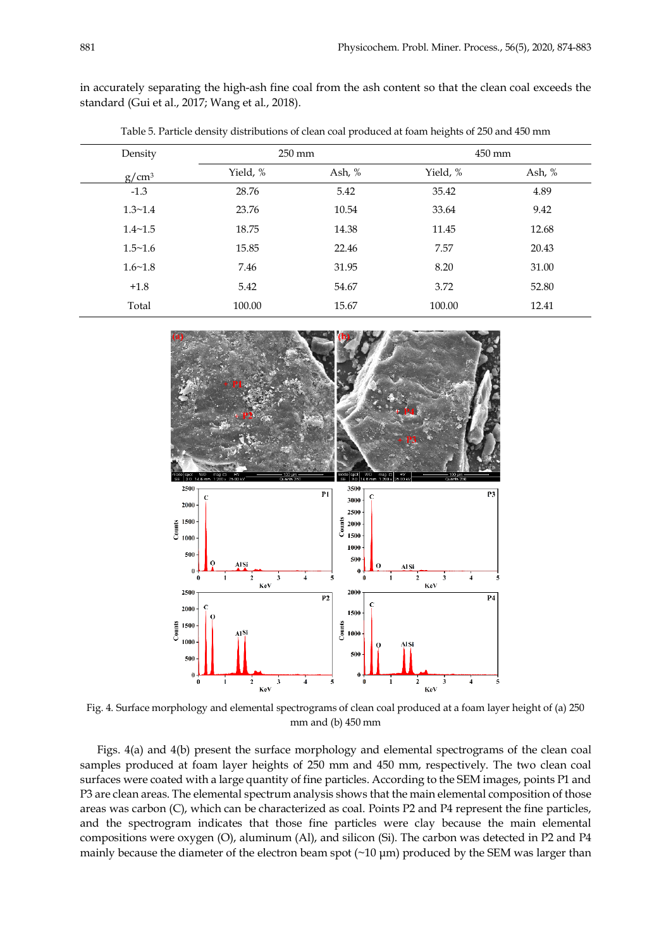in accurately separating the high-ash fine coal from the ash content so that the clean coal exceeds the standard (Gui et al., 2017; Wang et al., 2018).

| Table 5. Particle density distributions of clean coal produced at foam heights of 250 and 450 mm |  |
|--------------------------------------------------------------------------------------------------|--|
|                                                                                                  |  |

| Density        | $250 \text{ mm}$ |          | $450$ mm |          |  |
|----------------|------------------|----------|----------|----------|--|
| $g/cm^3$       | Yield, %         | Ash, $%$ | Yield, % | Ash, $%$ |  |
| $-1.3$         | 28.76            | 5.42     | 35.42    | 4.89     |  |
| $1.3 \sim 1.4$ | 23.76            | 10.54    | 33.64    | 9.42     |  |
| $1.4 - 1.5$    | 18.75            | 14.38    | 11.45    | 12.68    |  |
| $1.5 \sim 1.6$ | 15.85            | 22.46    | 7.57     | 20.43    |  |
| $1.6 - 1.8$    | 7.46             | 31.95    | 8.20     | 31.00    |  |
| $+1.8$         | 5.42             | 54.67    | 3.72     | 52.80    |  |
| Total          | 100.00           | 15.67    | 100.00   | 12.41    |  |



Fig. 4. Surface morphology and elemental spectrograms of clean coal produced at a foam layer height of (a) 250 mm and (b) 450 mm

Figs. 4(a) and 4(b) present the surface morphology and elemental spectrograms of the clean coal samples produced at foam layer heights of 250 mm and 450 mm, respectively. The two clean coal surfaces were coated with a large quantity of fine particles. According to the SEM images, points P1 and P3 are clean areas. The elemental spectrum analysis shows that the main elemental composition of those areas was carbon (C), which can be characterized as coal. Points P2 and P4 represent the fine particles, and the spectrogram indicates that those fine particles were clay because the main elemental compositions were oxygen (O), aluminum (Al), and silicon (Si). The carbon was detected in P2 and P4 mainly because the diameter of the electron beam spot  $(\sim 10 \,\mu m)$  produced by the SEM was larger than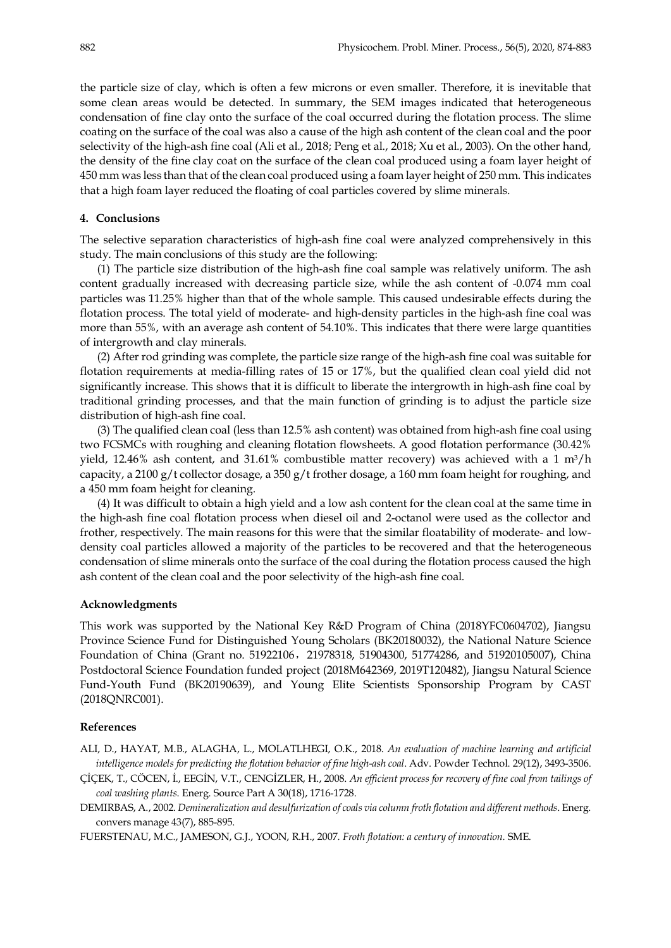the particle size of clay, which is often a few microns or even smaller. Therefore, it is inevitable that some clean areas would be detected. In summary, the SEM images indicated that heterogeneous condensation of fine clay onto the surface of the coal occurred during the flotation process. The slime coating on the surface of the coal was also a cause of the high ash content of the clean coal and the poor selectivity of the high-ash fine coal (Ali et al., 2018; Peng et al., 2018; Xu et al., 2003). On the other hand, the density of the fine clay coat on the surface of the clean coal produced using a foam layer height of 450 mm was less than that of the clean coal produced using a foam layer height of 250 mm. This indicates that a high foam layer reduced the floating of coal particles covered by slime minerals.

# **4. Conclusions**

The selective separation characteristics of high-ash fine coal were analyzed comprehensively in this study. The main conclusions of this study are the following:

(1) The particle size distribution of the high-ash fine coal sample was relatively uniform. The ash content gradually increased with decreasing particle size, while the ash content of -0.074 mm coal particles was 11.25% higher than that of the whole sample. This caused undesirable effects during the flotation process. The total yield of moderate- and high-density particles in the high-ash fine coal was more than 55%, with an average ash content of 54.10%. This indicates that there were large quantities of intergrowth and clay minerals.

(2) After rod grinding was complete, the particle size range of the high-ash fine coal was suitable for flotation requirements at media-filling rates of 15 or 17%, but the qualified clean coal yield did not significantly increase. This shows that it is difficult to liberate the intergrowth in high-ash fine coal by traditional grinding processes, and that the main function of grinding is to adjust the particle size distribution of high-ash fine coal.

(3) The qualified clean coal (less than 12.5% ash content) was obtained from high-ash fine coal using two FCSMCs with roughing and cleaning flotation flowsheets. A good flotation performance (30.42% yield, 12.46% ash content, and 31.61% combustible matter recovery) was achieved with a 1 m<sup>3</sup>/h capacity, a 2100 g/t collector dosage, a 350 g/t frother dosage, a 160 mm foam height for roughing, and a 450 mm foam height for cleaning.

(4) It was difficult to obtain a high yield and a low ash content for the clean coal at the same time in the high-ash fine coal flotation process when diesel oil and 2-octanol were used as the collector and frother, respectively. The main reasons for this were that the similar floatability of moderate- and lowdensity coal particles allowed a majority of the particles to be recovered and that the heterogeneous condensation of slime minerals onto the surface of the coal during the flotation process caused the high ash content of the clean coal and the poor selectivity of the high-ash fine coal.

#### **Acknowledgments**

This work was supported by the National Key R&D Program of China (2018YFC0604702), Jiangsu Province Science Fund for Distinguished Young Scholars (BK20180032), the National Nature Science Foundation of China (Grant no. 51922106, 21978318, 51904300, 51774286, and 51920105007), China Postdoctoral Science Foundation funded project (2018M642369, 2019T120482), Jiangsu Natural Science Fund-Youth Fund (BK20190639), and Young Elite Scientists Sponsorship Program by CAST (2018QNRC001).

### **References**

ALI, D., HAYAT, M.B., ALAGHA, L., MOLATLHEGI, O.K., 2018. *An evaluation of machine learning and artificial intelligence models for predicting the flotation behavior of fine high-ash coal*. Adv. Powder Technol. 29(12), 3493-3506.

ÇİÇEK, T., CÖCEN, İ., EEGİN, V.T., CENGİZLER, H., 2008. *An efficient process for recovery of fine coal from tailings of coal washing plants*. Energ. Source Part A 30(18), 1716-1728.

DEMIRBAS, A., 2002. *Demineralization and desulfurization of coals via column froth flotation and different methods*. Energ. convers manage 43(7), 885-895.

FUERSTENAU, M.C., JAMESON, G.J., YOON, R.H., 2007. *Froth flotation: a century of innovation*. SME.